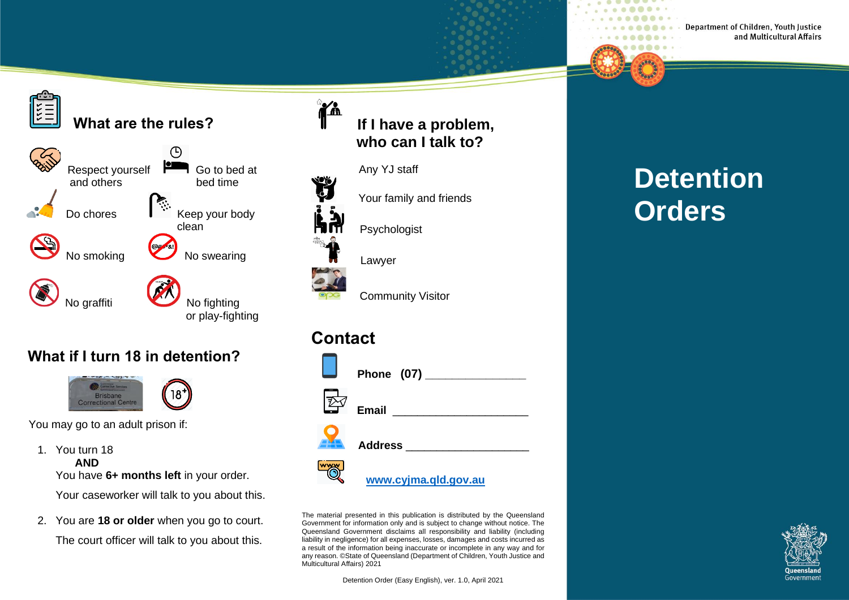# **What are the rules?**



#### **What if I turn 18 in detention?**



You may go to an adult prison if:

- 1. You turn 18 **AND** You have 6+ months left in your order. Your caseworker will talk to you about this.
- 2. You are **18 or older** when you go to court. The court officer will talk to you about this.

# **If I have a problem, who can I talk to?**



 $^{\circ}$ za

Any YJ staff

Your family and friends

Psychologist

Lawyer

Community Visitor

# **Contact**



The material presented in this publication is distributed by the Queensland Government for information only and is subject to change without notice. The Queensland Government disclaims all responsibility and liability (including liability in negligence) for all expenses, losses, damages and costs incurred as a result of the information being inaccurate or incomplete in any way and for any reason. ©State of Queensland (Department of Children, Youth Justice and Multicultural Affairs) 2021

Detention Order (Easy English), ver. 1.0, April 2021

# **Detention Orders**